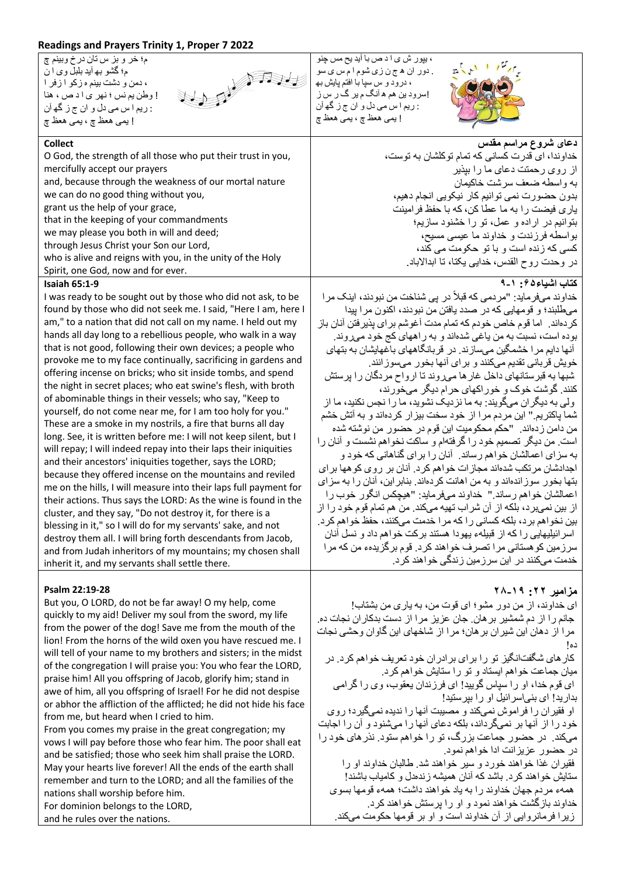# **Readings and Prayers Trinity 1, Proper 7 2022**

م؛ خر و بز س نان در خ وبينم چ م؛ گشو بھ أيد بلبل وي ا ن ، نمد و تشد منیب ه وکز ا رفز ا ! وطن يم نس ؛ نهر ی ا د ص ، هنا : میر ا س یم لد و نا ج ز ھگ نآ ! یمی ظعھ چ ، یمی ظعھ چ

 $\sum_{i=1}^n\sum_{j=1}^n\frac{1}{j}$  $\bigotimes_{i=1}^n$ 

### **Collect**

O God, the strength of all those who put their trust in you, mercifully accept our prayers and, because through the weakness of our mortal nature we can do no good thing without you, grant us the help of your grace, that in the keeping of your commandments we may please you both in will and deed; through Jesus Christ your Son our Lord, who is alive and reigns with you, in the unity of the Holy Spirit, one God, now and for ever.

#### **Isaiah 65:1-9**

I was ready to be sought out by those who did not ask, to be found by those who did not seek me. I said, "Here I am, here I am," to a nation that did not call on my name. I held out my hands all day long to a rebellious people, who walk in a way that is not good, following their own devices; a people who provoke me to my face continually, sacrificing in gardens and offering incense on bricks; who sit inside tombs, and spend the night in secret places; who eat swine's flesh, with broth of abominable things in their vessels; who say, "Keep to yourself, do not come near me, for I am too holy for you." These are a smoke in my nostrils, a fire that burns all day long. See, it is written before me: I will not keep silent, but I will repay; I will indeed repay into their laps their iniquities and their ancestors' iniquities together, says the LORD; because they offered incense on the mountains and reviled me on the hills, I will measure into their laps full payment for their actions. Thus says the LORD: As the wine is found in the cluster, and they say, "Do not destroy it, for there is a blessing in it," so I will do for my servants' sake, and not destroy them all. I will bring forth descendants from Jacob, and from Judah inheritors of my mountains; my chosen shall inherit it, and my servants shall settle there.

#### **Psalm 22:19-28**

But you, O LORD, do not be far away! O my help, come quickly to my aid! Deliver my soul from the sword, my life from the power of the dog! Save me from the mouth of the lion! From the horns of the wild oxen you have rescued me. I will tell of your name to my brothers and sisters; in the midst of the congregation I will praise you: You who fear the LORD, praise him! All you offspring of Jacob, glorify him; stand in awe of him, all you offspring of Israel! For he did not despise or abhor the affliction of the afflicted; he did not hide his face from me, but heard when I cried to him.

From you comes my praise in the great congregation; my vows I will pay before those who fear him. The poor shall eat and be satisfied; those who seek him shall praise the LORD. May your hearts live forever! All the ends of the earth shall remember and turn to the LORD; and all the families of the nations shall worship before him. For dominion belongs to the LORD,

and he rules over the nations.

، بیور ش ی ا د ص با آید یح مس چنو . دور ان ھ ج ن زي شوم ا م س ي سو ، درود و س سپا با افتم پایش بھ !سرود بن هم ه آنگ م بر گ ر س ز : میر ا س یم لد و نا ج ز ھگ نآ ! یمی ظعھ چ ، یمی ظعھ چ



دعا*ی* شروع مراسم مقدس خداوندا، ای قدرت کسانی که تمام توکلشان به توست، از روی رحمتت دعای ما را بیذپر به واسطه ضعف سرشت خاکیمان یدون حضور ت نمی تو انیم کار نیکویی انجام دھیم، یار ی فیضت را به ما عطا کن، که با حفظ فر امینت بتوانیم در اراده و عمل، تو را خشنود سازیم؛ بواسطه فرزندت و خداوند ما عیسی مسیح، کسی که زنده است و با تو حکومت می کند، در وحدت روح القدس، خدابی یکتا، تا ابدالاباد

#### **ءایشا باتک ۶۵ : ٩-١**

خداوند میفر ماید: "مردمی كه قبلاً در پی شناخت من نبودند، اینك مرا میطلبند؛ و قومهایی که در صدد یافتن من نبودند، اکنون مر ا بیدا كر دهاند. اما قوم خاص خودم كه تمام مدت آغوشم براي بذبر فتن آنان باز بو ده است، نسبت به من یاغی شدهاند و به راههای كج خود مىروند. آنها دایم مر ا خشمگین مے ساز ند. در قر بانگاههای باغهایشان به بتهای خویش قربانی تقدیم میكنند و بر ای آنها بخور ِ میسوز انند. شبها به قبرستانهای داخل غار ها میروند تا ارواح مردگان را پرستش كنند. گوشت خوك و خور اكهاي حرام ديگر مىخورند، ولی به دیگران میگویند: به ما نزدیک نشوید، ما را نجس نكنید، ما از شما پاكتريم." اين مردم مرا از خود سخت بيزار كردهاند و به آتش خشم من دامن ز دماند. "حكم محكوميت اين قوم در حضور من نوشته شده است. من دیگر تصمیم خود را گرفتهام و ساكت نخواهم نشست و آنان را به سز ای اعمالشان خواهم رساند. آنان را بر ای گناهانی که خود و اجدادشان مرتكب شدهاند مجازات خواهم كرد. آنان بر روى كوهها براي بتها بخور سوز اندهاند و به من اهانت كر دهاند. بنابر اين، آنان را به سزاي اعمالشان خواهم رساند." خداوند مىفرمايد: "هيچكس انگور خوب را از بین نمیبرد، بلكه از آن شراب نهیه میكند. من هم نمام قوم خود را از بین نخواهم برد، بلكه كساني را كه مرا خدمت ميكنند، حفظ خواهم كرد. اسر ائیلیھایی را که از قبیلهء یھو دا هستند بر کت خو اهم داد و نسل آنان سرزمین کو هستانی مرا تصرف خواهند کرد. قوم برگزیدهء من که مرا خدمت میكنند در این سر زمین زندگی خواهند كرد.

## **ریمازم ٢٢ : ٢٨-١٩**

ای خداوند، از من دور مشو؛ ای قوت من، به پاری من بشتاب! جانم را از دم شمشیر بر هان. جان عزیز مرا از دست بدكاران نجات ده. مرا از دهان این شیران بر هان؛ مرا از شاخهای این گاوان وحشی نجات ده! كار های شگفتانگيز تو را بر ای بر ادر ان خود تعريف خواهم كر د. در میان جماعت خواهم ایستاد و تو را ستایش خواهم كرد. ای قوم خدا، او را سپاس گویید! ای فرزندان یعقوب، وی را گرامی بدار ید! ای بنی اسر ائیل او ر ا بیر ستید! او فقیران را فراموش نمیكند و مصيبت أنها را نديده نمیگيرد؛ روی خود را از آنها بر نمىگرداند، بلكه دعاى آنها را مىشنود و آن را اجابت میکند. در حضور جماعت بزرگ، تو را خواهم ستود. نذر های خود را در حضور عزیزانت ادا خواهم نمود. فقیران غذا خواهند خورد و سیر خواهند شد. طالبان خداوند او را ستایش خواهند كرد. باشد كه آنان همیشه زندهدل و كامیاب باشند! همهء مردم جهان خداوند را به ياد خواهند داشت؛ همهء قومها بسوي خداوند بازگشت خواهند نمود و او را برستش خواهند كرد. زیرا فرمانروایی از آن خداوند است و او بر قومها حكومت مىكند.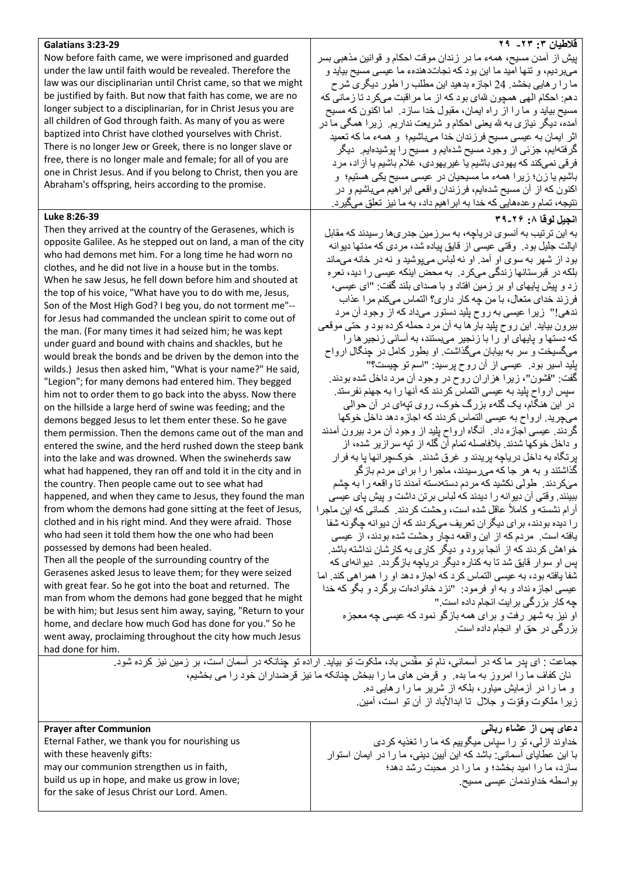#### **Galatians 3:23-29** Now before faith came, we were imprisoned and guarded under the law until faith would be revealed. Therefore the law was our disciplinarian until Christ came, so that we might be justified by faith. But now that faith has come, we are no longer subject to a disciplinarian, for in Christ Jesus you are all children of God through faith. As many of you as were baptized into Christ have clothed yourselves with Christ. There is no longer Jew or Greek, there is no longer slave or free, there is no longer male and female; for all of you are one in Christ Jesus. And if you belong to Christ, then you are Abraham's offspring, heirs according to the promise.  **نایطلاق :٣ -٢٣ ٢٩** بیش از آمدن مسیح، همهء ما در ز ندان مو قت احکام و قو انین مذهبی بسر میبر دیم، و تنها امّید ما این بود كه نجاتدهندهء ما عیسی مسیح بیاید و ما را ر هایی بخشد. 24 اجاز ه بدهید این مطلب را طور دیگری شر ح دھم: احكام الهى همچون للهاى بود كه از ما مر اقبت مىكرد تا زمانى كه مسیح بیاید و ما را از راه ایمان، مقبول خدا ساز د. اما اكنون كه مسیح آمده، دیگر نیازی به لله یعنی احکام و شریعت نداریم. زیرا همگی ما در اثر ایمان به عیسی مسیح فرزندان خدا میباشیم؛ و همهء ما كه تعمید گرفتهایم، جزئی از وجود مسیح شدهایم و مسیح را پوشیدهایم. دیگر فرقی نمیکند که بهودی باشیم یا غیریهودی، غلام باشیم یا آزاد، مرد باشیم یا زن؛ زیرا همهء ما مسیحیان در عیسی مسیح یكی هستیم؛ و اكنون كه از آن مسیح شدهایم، فرزندان واقعی ابر اهیم میباشیم و در نتيجه، تمام و عدههايی كه خدا به ابر اهيم داد، به ما نيز تعلق میگیر د. **Luke 8:26-39** Then they arrived at the country of the Gerasenes, which is opposite Galilee. As he stepped out on land, a man of the city who had demons met him. For a long time he had worn no clothes, and he did not live in a house but in the tombs. When he saw Jesus, he fell down before him and shouted at the top of his voice, "What have you to do with me, Jesus, Son of the Most High God? I beg you, do not torment me"- for Jesus had commanded the unclean spirit to come out of the man. (For many times it had seized him; he was kept under guard and bound with chains and shackles, but he would break the bonds and be driven by the demon into the wilds.) Jesus then asked him, "What is your name?" He said, "Legion"; for many demons had entered him. They begged him not to order them to go back into the abyss. Now there on the hillside a large herd of swine was feeding; and the demons begged Jesus to let them enter these. So he gave them permission. Then the demons came out of the man and entered the swine, and the herd rushed down the steep bank into the lake and was drowned. When the swineherds saw what had happened, they ran off and told it in the city and in the country. Then people came out to see what had happened, and when they came to Jesus, they found the man  **اقول لیجنا ٨ : ٣٩-٢۶** به این ترتیب به آنسوی دریاچه، به سرزمین جدریها رسیدند که مقابل ایالت جلیل بود. وقتی عیسی از قایق پیاده شد، مردی كه مدتها دیوانه بود از شهر به سوی او آمد. او نه لباس میپوشید و نه در خانه میماند بلكه در قبرستانها زندگی میكرد. به محض اینكه عیسی را دید، نعر ه زد و بیش بابهای او بر زمین افتاد و با صدای بلند گفت: "ای عیسی، فرزند خدای متعال، با من چه كار داری؟ التماس میكنم مرا عذاب ندهي!" زيرا عيسى به روح يليد دستور مىداد كه از وجود آن مرد بیرون بیاید. این روح پلید بار ها به آن مرد حمله كرده بود و حتى موقعى كه دستها و پايهاي او را با زنجير ميبستند، به آساني زنجير ها را میگسیخت و سر به بیابان میگذاشت. او بطور كامل در چنگال ارواح يليد اسير بود. عيسى از آن روح پرسيد: "اسم تو چيست؟" گفت: "قشون"، زيرا هزاران روح در وجود أن مرد داخل شده بودند. سپس ارواح پلید به عیسی التماس کردند که آنها را به جهنم نفر سند. در این هنگآم، یک گلهء بزرگ خوک، روی تپهای در آن حوالی مے جرید. ار واح به عبسی التماس کر دند که اجاز ه دهد داخل خو کها گردند. عیسی اجازه داد. آنگاه ارواح بلید از وجود آن مرد بیرون آمدند و داخل خوكها شدند. بلافاصله تمام آن گله از تپه سرازير شده، از پرتگاه به داخل درياچه پريدند و غرق شدند. خوكچرانها پا به فرار گذاشتند و به هر جا كه مىرسيدند، ماجرا را براى مردم بازگو میكردند. طولی نكشيد كه مردم دستهدسته آمدند تا واقعه را به چشم ببینند. وقتی آن دیوانه را دیدند كه لباس برتن داشت و پیش پای عیسی

from whom the demons had gone sitting at the feet of Jesus, clothed and in his right mind. And they were afraid. Those who had seen it told them how the one who had been possessed by demons had been healed.

Then all the people of the surrounding country of the Gerasenes asked Jesus to leave them; for they were seized with great fear. So he got into the boat and returned. The man from whom the demons had gone begged that he might be with him; but Jesus sent him away, saying, "Return to your home, and declare how much God has done for you." So he went away, proclaiming throughout the city how much Jesus had done for him.

جماعت : ای پدر ما که در آسمانی، نام تو مقّدس باد، ملکوت تو بیاید. اراده تو چنانکه در آسمان است، بر زمین نیز کرده شود نان كفاف ما را امروز به ما بده و قرض های ما را ببخش چنانكه ما نیز قرضداران خود را می بخشیم، و ما را در آزمایش میاور، بلکه از شریر ما را رهایی ده زیرا ملکوت وقوّت و جلال تا ابدالآباد از آن تو است، آمین<sub>.</sub>

أرام نشسته و كاملاً عاقل شده است، وحشت كردند. كسانى كه اين ماجرا را دیده بودند، برای دیگران نعریف میكردند كه آن دیوانه چگونه شفا يافته است. مردم كه از اين واقعه دچار وحشت شده بودند، از عيسى خواهش كردند كه از آنجا برود و ديگر كارى به كارشان نداشته باشد. پس او سوار قايق شد تا به كناره ديگر درياچه بازگردد. ديوانهاي كه شفا یافته بود، به عیسی التماس کرد که اجازه دهد او را همراهی کند. اما عیسی اجاز ه نداد و به او فرمود: "نزد خانوادهات برگرد و بگو كه خدا

او نیز به شهر رفت و برای همه بازگو نمود كه عیسی چه معجزه

چه كار بزرگی بر ايت انجام داده است."

بز ر گے در حق او انجام دادہ است.

| <b>Prayer after Communion</b>                  | دعای پس از عشاء ربانی                                               |
|------------------------------------------------|---------------------------------------------------------------------|
| Eternal Father, we thank you for nourishing us | خداوند ازلی، تو را سپاس میگوییم که ما را تغذیه کردی                 |
| with these heavenly gifts:                     | با این عطایای آسمانی: باشد که این آبین دینی، ما ر ا در ایمان استوار |
| may our communion strengthen us in faith,      | سازد، ما را امید بخشد؛ و ما را در محبت رشد دهد؛                     |
| build us up in hope, and make us grow in love; | بو اسطه خداوندمان عیسی مسیح                                         |
| for the sake of Jesus Christ our Lord. Amen.   |                                                                     |
|                                                |                                                                     |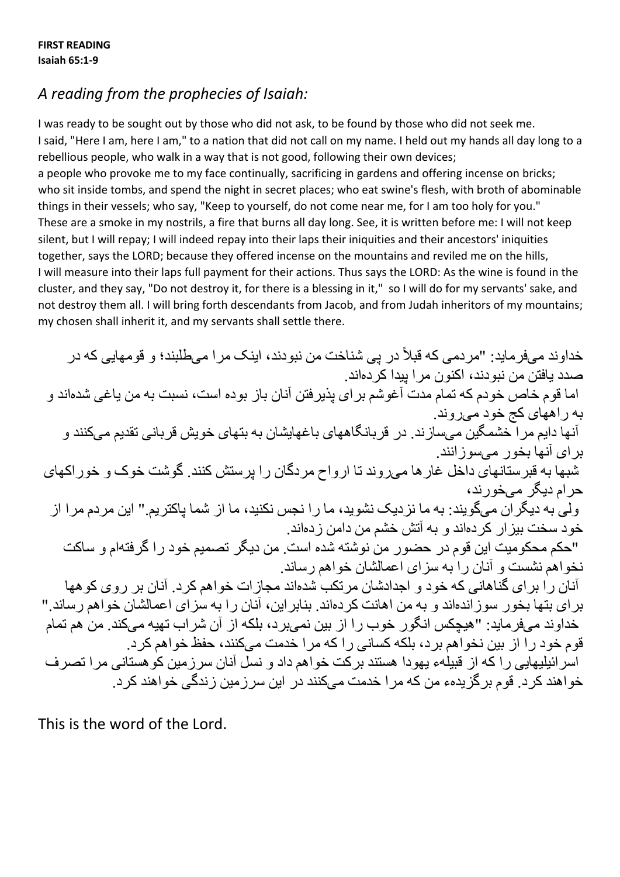# *A reading from the prophecies of Isaiah:*

I was ready to be sought out by those who did not ask, to be found by those who did not seek me. I said, "Here I am, here I am," to a nation that did not call on my name. I held out my hands all day long to a rebellious people, who walk in a way that is not good, following their own devices; a people who provoke me to my face continually, sacrificing in gardens and offering incense on bricks; who sit inside tombs, and spend the night in secret places; who eat swine's flesh, with broth of abominable things in their vessels; who say, "Keep to yourself, do not come near me, for I am too holy for you." These are a smoke in my nostrils, a fire that burns all day long. See, it is written before me: I will not keep silent, but I will repay; I will indeed repay into their laps their iniquities and their ancestors' iniquities together, says the LORD; because they offered incense on the mountains and reviled me on the hills, I will measure into their laps full payment for their actions. Thus says the LORD: As the wine is found in the cluster, and they say, "Do not destroy it, for there is a blessing in it," so I will do for my servants' sake, and not destroy them all. I will bring forth descendants from Jacob, and from Judah inheritors of my mountains; my chosen shall inherit it, and my servants shall settle there.

خداوند میفرماید: "مردمی كه قبلاً در پی شناخت من نبودند، اینك مرا میطلبند؛ و قومهایی كه در صدد يافتن من نبو دند، اكنو ن مر ۱ بيدا كر دماند. اما قوم خاص خودم كه تمام مدت آغوشم بر اي پذير فتن آنان باز بوده است، نسبت به من ياغي شدهاند و به راههای کج خود میروند. آنها دایم مرا خشمگین میسازند. در قربانگاههای باغهایشان به بتهای خویش قربانی تقدیم میكنند و بر ای آنها بخور مے سوز انند. شبها به قبرستانهاي داخل غار ها مهروند تا ارواح مردگان را پرستش كنند. گوشت خوک و خوراكهاي حر ام دیگر مے خور ند، و لم ، به دیگر ان میگویند: به ما نزدیک نشوید، ما را نجس نکنید، ما از شما پاکتریم." این مردم مرا از خو د سخت بیز ار کر دماند و به آتش خشم من دامن ز دماند. "حكم محكوميت اين قوم در حضور من نوشته شده است. من ديگر تصميم خود را گرفتهام و ساكت نخو اهم نشست و آنان ر ا به سز ای اعمالشان خو اهم ر ساند. آنان را بر ای گناھانی که خود و اجدادشان مر نکب شدهاند مجاز ات خو اھم کر در آنان پر روی کو ھھا بر ای بتها بخور سوز آندماند و به من اهانت كردماند. بنابر این، آنان را به سزای اعمالشان خواهم رساند." خداوند میفرماید: "هیچکس انگور خوب را از بین نمیبرد، بلکه از آن شراب تهیه میکند. من هم نمام قوم خود را از این نخو اهم بر د، بلكه كسانى را كه مر ا خدمت مى كنند، حفظ خو اهم كر د. اسر ائبلیھایی را که از قبیلُهء بیودا هستند پر کت خواهم داد و نسل آنان سر ز مین کو هستانی مر ا تصر ف خو اهند كر د. قو م بر گز بدهء من كه مر ا خدمت مے كنند در ابن سر ز مبن ز ندگے خو اهند كر د.

This is the word of the Lord.